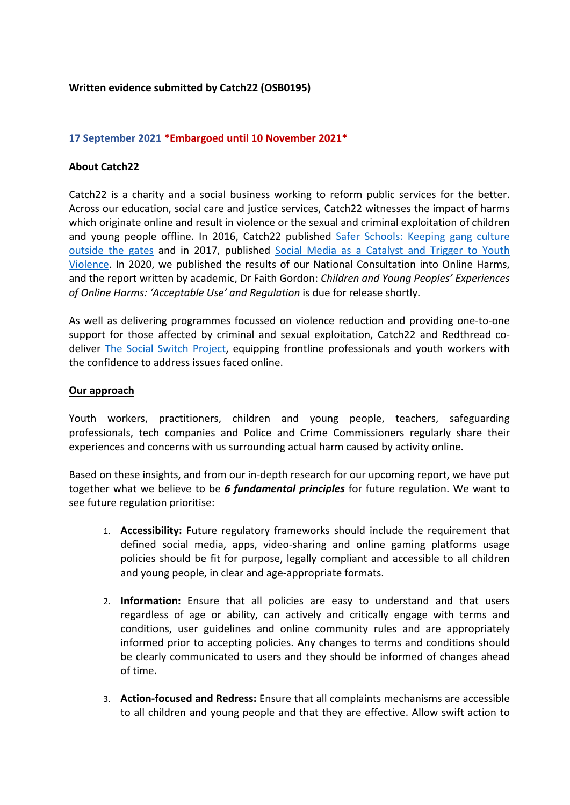# **Written evidence submitted by Catch22 (OSB0195)**

## **17 September 2021 \*Embargoed until 10 November 2021\***

### **About Catch22**

Catch22 is a charity and a social business working to reform public services for the better. Across our education, social care and justice services, Catch22 witnesses the impact of harms which originate online and result in violence or the sexual and criminal exploitation of children and young people offline. In 2016, Catch22 published [Safer](https://www.catch-22.org.uk/publications/catch22-dawes-unit-safer-schools/) [Schools:](https://www.catch-22.org.uk/publications/catch22-dawes-unit-safer-schools/) [Keeping](https://www.catch-22.org.uk/publications/catch22-dawes-unit-safer-schools/) [gang](https://www.catch-22.org.uk/publications/catch22-dawes-unit-safer-schools/) [culture](https://www.catch-22.org.uk/publications/catch22-dawes-unit-safer-schools/) [outside](https://www.catch-22.org.uk/publications/catch22-dawes-unit-safer-schools/) [the](https://www.catch-22.org.uk/publications/catch22-dawes-unit-safer-schools/) [gates](https://www.catch-22.org.uk/publications/catch22-dawes-unit-safer-schools/) and in 2017, published [Social](https://cdn.catch-22.org.uk/wp-content/uploads/2017/01/Social-Media-as-a-Catalyst-and-Trigger_Exec-Summary.pdf) [Media](https://cdn.catch-22.org.uk/wp-content/uploads/2017/01/Social-Media-as-a-Catalyst-and-Trigger_Exec-Summary.pdf) [as](https://cdn.catch-22.org.uk/wp-content/uploads/2017/01/Social-Media-as-a-Catalyst-and-Trigger_Exec-Summary.pdf) [a](https://cdn.catch-22.org.uk/wp-content/uploads/2017/01/Social-Media-as-a-Catalyst-and-Trigger_Exec-Summary.pdf) [Catalyst](https://cdn.catch-22.org.uk/wp-content/uploads/2017/01/Social-Media-as-a-Catalyst-and-Trigger_Exec-Summary.pdf) [and](https://cdn.catch-22.org.uk/wp-content/uploads/2017/01/Social-Media-as-a-Catalyst-and-Trigger_Exec-Summary.pdf) [Trigger](https://cdn.catch-22.org.uk/wp-content/uploads/2017/01/Social-Media-as-a-Catalyst-and-Trigger_Exec-Summary.pdf) [to](https://cdn.catch-22.org.uk/wp-content/uploads/2017/01/Social-Media-as-a-Catalyst-and-Trigger_Exec-Summary.pdf) [Youth](https://cdn.catch-22.org.uk/wp-content/uploads/2017/01/Social-Media-as-a-Catalyst-and-Trigger_Exec-Summary.pdf) [Violence.](https://cdn.catch-22.org.uk/wp-content/uploads/2017/01/Social-Media-as-a-Catalyst-and-Trigger_Exec-Summary.pdf) In 2020, we published the results of our National Consultation into Online Harms, and the report written by academic, Dr Faith Gordon: *Children and Young Peoples' Experiences of Online Harms: 'Acceptable Use' and Regulation* is due for release shortly.

As well as delivering programmes focussed on violence reduction and providing one-to-one support for those affected by criminal and sexual exploitation, Catch22 and Redthread codeliver [The](http://thesocialswitchproject.org.uk/) [Social](http://thesocialswitchproject.org.uk/) [Switch](http://thesocialswitchproject.org.uk/) [Project,](http://thesocialswitchproject.org.uk/) equipping frontline professionals and youth workers with the confidence to address issues faced online.

### **Our approach**

Youth workers, practitioners, children and young people, teachers, safeguarding professionals, tech companies and Police and Crime Commissioners regularly share their experiences and concerns with us surrounding actual harm caused by activity online.

Based on these insights, and from our in-depth research for our upcoming report, we have put together what we believe to be *6 fundamental principles* for future regulation. We want to see future regulation prioritise:

- 1. **Accessibility:** Future regulatory frameworks should include the requirement that defined social media, apps, video-sharing and online gaming platforms usage policies should be fit for purpose, legally compliant and accessible to all children and young people, in clear and age-appropriate formats.
- 2. **Information:** Ensure that all policies are easy to understand and that users regardless of age or ability, can actively and critically engage with terms and conditions, user guidelines and online community rules and are appropriately informed prior to accepting policies. Any changes to terms and conditions should be clearly communicated to users and they should be informed of changes ahead of time.
- 3. **Action-focused and Redress:** Ensure that all complaints mechanisms are accessible to all children and young people and that they are effective. Allow swift action to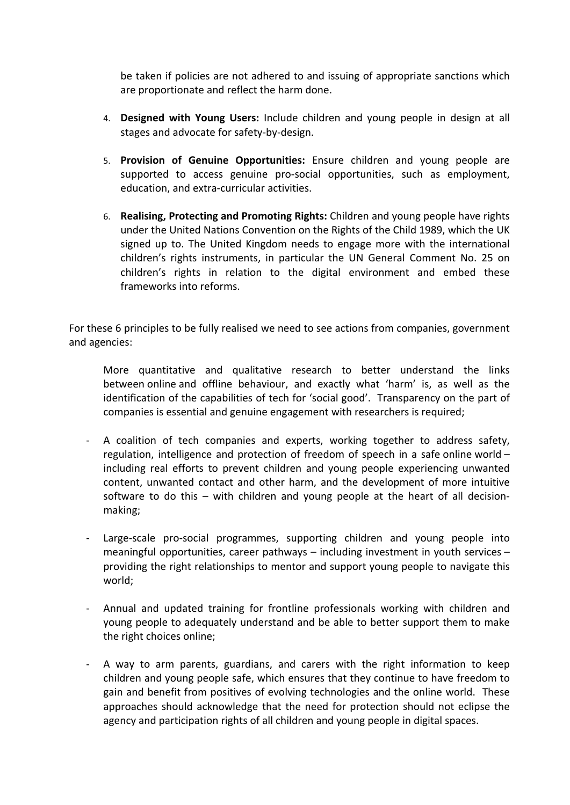be taken if policies are not adhered to and issuing of appropriate sanctions which are proportionate and reflect the harm done.

- 4. **Designed with Young Users:** Include children and young people in design at all stages and advocate for safety-by-design.
- 5. **Provision of Genuine Opportunities:** Ensure children and young people are supported to access genuine pro-social opportunities, such as employment, education, and extra-curricular activities.
- 6. **Realising, Protecting and Promoting Rights:** Children and young people have rights under the United Nations Convention on the Rights of the Child 1989, which the UK signed up to. The United Kingdom needs to engage more with the international children's rights instruments, in particular the UN General Comment No. 25 on children's rights in relation to the digital environment and embed these frameworks into reforms.

For these 6 principles to be fully realised we need to see actions from companies, government and agencies:

More quantitative and qualitative research to better understand the links between online and offline behaviour, and exactly what 'harm' is, as well as the identification of the capabilities of tech for 'social good'. Transparency on the part of companies is essential and genuine engagement with researchers is required;

- A coalition of tech companies and experts, working together to address safety, regulation, intelligence and protection of freedom of speech in a safe online world – including real efforts to prevent children and young people experiencing unwanted content, unwanted contact and other harm, and the development of more intuitive software to do this – with children and young people at the heart of all decisionmaking;
- Large-scale pro-social programmes, supporting children and young people into meaningful opportunities, career pathways – including investment in youth services – providing the right relationships to mentor and support young people to navigate this world;
- Annual and updated training for frontline professionals working with children and young people to adequately understand and be able to better support them to make the right choices online;
- A way to arm parents, guardians, and carers with the right information to keep children and young people safe, which ensures that they continue to have freedom to gain and benefit from positives of evolving technologies and the online world. These approaches should acknowledge that the need for protection should not eclipse the agency and participation rights of all children and young people in digital spaces.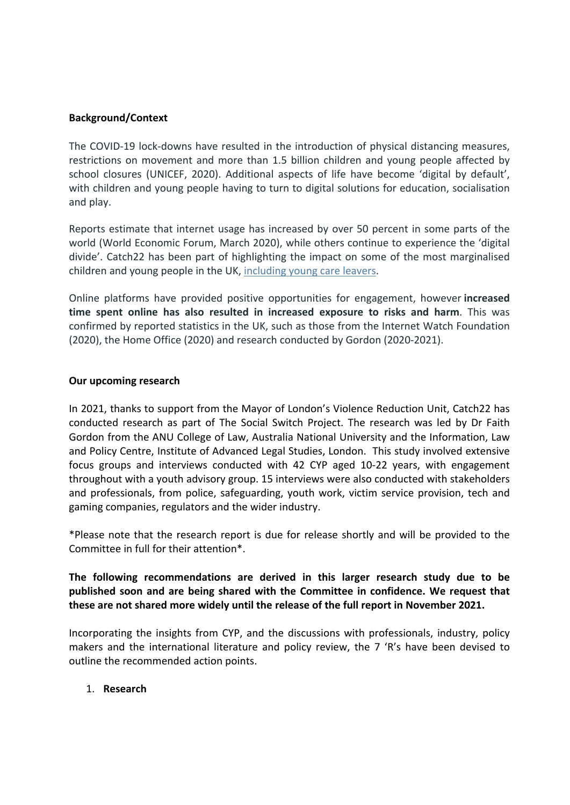# **Background/Context**

The COVID-19 lock-downs have resulted in the introduction of physical distancing measures, restrictions on movement and more than 1.5 billion children and young people affected by school closures (UNICEF, 2020). Additional aspects of life have become 'digital by default', with children and young people having to turn to digital solutions for education, socialisation and play.

Reports estimate that internet usage has increased by over 50 percent in some parts of the world (World Economic Forum, March 2020), while others continue to experience the 'digital divide'. Catch22 has been part of highlighting the impact on some of the most marginalised children and young people in the UK, [including](https://www.catch-22.org.uk/news/thousands-care-leavers-facing-digital-poverty/) [young](https://www.catch-22.org.uk/news/thousands-care-leavers-facing-digital-poverty/) [care](https://www.catch-22.org.uk/news/thousands-care-leavers-facing-digital-poverty/) [leavers.](https://www.catch-22.org.uk/news/thousands-care-leavers-facing-digital-poverty/)

Online platforms have provided positive opportunities for engagement, however **increased time spent online has also resulted in increased exposure to risks and harm**. This was confirmed by reported statistics in the UK, such as those from the Internet Watch Foundation (2020), the Home Office (2020) and research conducted by Gordon (2020-2021).

## **Our upcoming research**

In 2021, thanks to support from the Mayor of London's Violence Reduction Unit, Catch22 has conducted research as part of The Social Switch Project. The research was led by Dr Faith Gordon from the ANU College of Law, Australia National University and the Information, Law and Policy Centre, Institute of Advanced Legal Studies, London. This study involved extensive focus groups and interviews conducted with 42 CYP aged 10-22 years, with engagement throughout with a youth advisory group. 15 interviews were also conducted with stakeholders and professionals, from police, safeguarding, youth work, victim service provision, tech and gaming companies, regulators and the wider industry.

\*Please note that the research report is due for release shortly and will be provided to the Committee in full for their attention\*.

**The following recommendations are derived in this larger research study due to be published soon and are being shared with the Committee in confidence. We request that these are not shared more widely until the release of the full report in November 2021.**

Incorporating the insights from CYP, and the discussions with professionals, industry, policy makers and the international literature and policy review, the 7 'R's have been devised to outline the recommended action points.

## 1. **Research**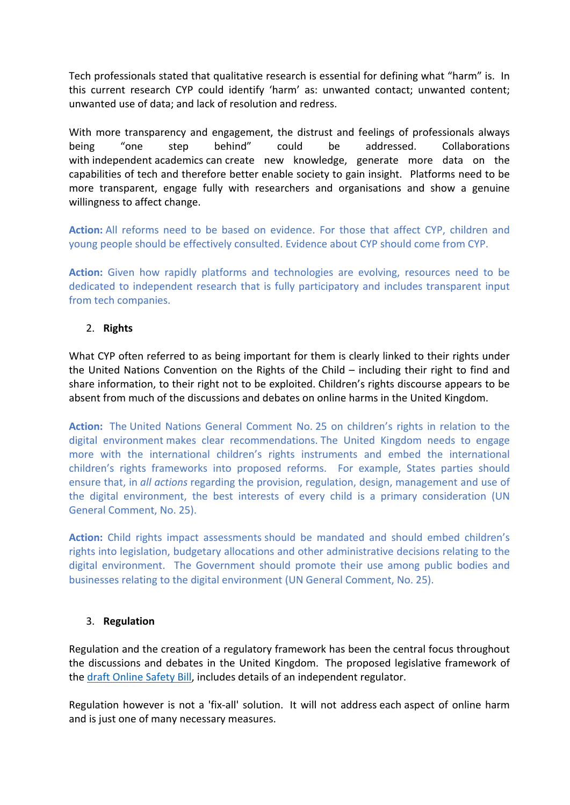Tech professionals stated that qualitative research is essential for defining what "harm" is. In this current research CYP could identify 'harm' as: unwanted contact; unwanted content; unwanted use of data; and lack of resolution and redress.

With more transparency and engagement, the distrust and feelings of professionals always being "one step behind" could be addressed. Collaborations with independent academics can create new knowledge, generate more data on the capabilities of tech and therefore better enable society to gain insight. Platforms need to be more transparent, engage fully with researchers and organisations and show a genuine willingness to affect change.

**Action:** All reforms need to be based on evidence. For those that affect CYP, children and young people should be effectively consulted. Evidence about CYP should come from CYP.

**Action:** Given how rapidly platforms and technologies are evolving, resources need to be dedicated to independent research that is fully participatory and includes transparent input from tech companies.

# 2. **Rights**

What CYP often referred to as being important for them is clearly linked to their rights under the United Nations Convention on the Rights of the Child – including their right to find and share information, to their right not to be exploited. Children's rights discourse appears to be absent from much of the discussions and debates on online harms in the United Kingdom.

**Action:** The United Nations General Comment No. 25 on children's rights in relation to the digital environment makes clear recommendations. The United Kingdom needs to engage more with the international children's rights instruments and embed the international children's rights frameworks into proposed reforms. For example, States parties should ensure that, in *all actions* regarding the provision, regulation, design, management and use of the digital environment, the best interests of every child is a primary consideration (UN General Comment, No. 25).

**Action:** Child rights impact assessments should be mandated and should embed children's rights into legislation, budgetary allocations and other administrative decisions relating to the digital environment. The Government should promote their use among public bodies and businesses relating to the digital environment (UN General Comment, No. 25).

## 3. **Regulation**

Regulation and the creation of a regulatory framework has been the central focus throughout the discussions and debates in the United Kingdom. The proposed legislative framework of the [draft](https://assets.publishing.service.gov.uk/government/uploads/system/uploads/attachment_data/file/985033/Draft_Online_Safety_Bill_Bookmarked.pdf) [Online](https://assets.publishing.service.gov.uk/government/uploads/system/uploads/attachment_data/file/985033/Draft_Online_Safety_Bill_Bookmarked.pdf) [Safety](https://assets.publishing.service.gov.uk/government/uploads/system/uploads/attachment_data/file/985033/Draft_Online_Safety_Bill_Bookmarked.pdf) [Bill](https://assets.publishing.service.gov.uk/government/uploads/system/uploads/attachment_data/file/985033/Draft_Online_Safety_Bill_Bookmarked.pdf), includes details of an independent regulator.

Regulation however is not a 'fix-all' solution. It will not address each aspect of online harm and is just one of many necessary measures.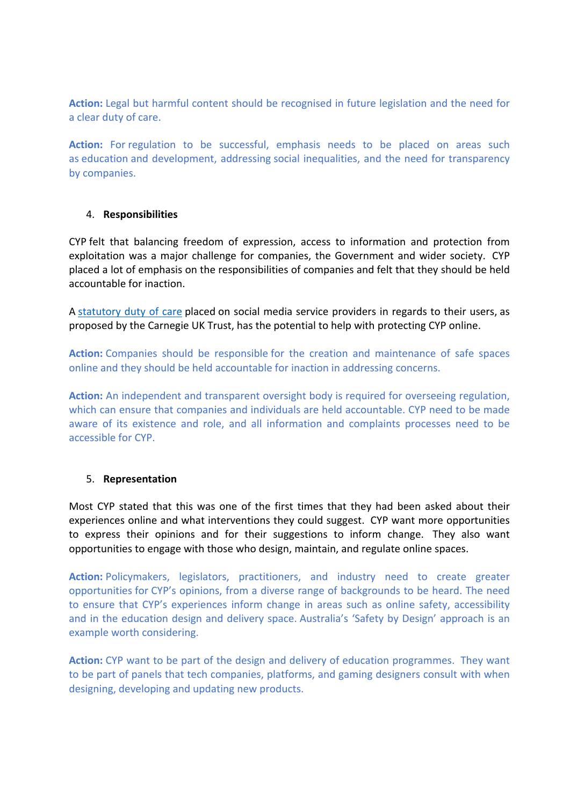**Action:** Legal but harmful content should be recognised in future legislation and the need for a clear duty of care.

**Action:** For regulation to be successful, emphasis needs to be placed on areas such as education and development, addressing social inequalities, and the need for transparency by companies.

## 4. **Responsibilities**

CYP felt that balancing freedom of expression, access to information and protection from exploitation was a major challenge for companies, the Government and wider society. CYP placed a lot of emphasis on the responsibilities of companies and felt that they should be held accountable for inaction.

A [statutory](https://www.carnegieuktrust.org.uk/project/harm-reduction-in-social-media/?download=view) [duty](https://www.carnegieuktrust.org.uk/project/harm-reduction-in-social-media/?download=view) [of](https://www.carnegieuktrust.org.uk/project/harm-reduction-in-social-media/?download=view) [care](https://www.carnegieuktrust.org.uk/project/harm-reduction-in-social-media/?download=view) placed on social media service providers in regards to their users, as proposed by the Carnegie UK Trust, has the potential to help with protecting CYP online.

**Action:** Companies should be responsible for the creation and maintenance of safe spaces online and they should be held accountable for inaction in addressing concerns.

**Action:** An independent and transparent oversight body is required for overseeing regulation, which can ensure that companies and individuals are held accountable. CYP need to be made aware of its existence and role, and all information and complaints processes need to be accessible for CYP.

## 5. **Representation**

Most CYP stated that this was one of the first times that they had been asked about their experiences online and what interventions they could suggest. CYP want more opportunities to express their opinions and for their suggestions to inform change. They also want opportunities to engage with those who design, maintain, and regulate online spaces.

**Action:** Policymakers, legislators, practitioners, and industry need to create greater opportunities for CYP's opinions, from a diverse range of backgrounds to be heard. The need to ensure that CYP's experiences inform change in areas such as online safety, accessibility and in the education design and delivery space. Australia's 'Safety by Design' approach is an example worth considering.

**Action:** CYP want to be part of the design and delivery of education programmes. They want to be part of panels that tech companies, platforms, and gaming designers consult with when designing, developing and updating new products.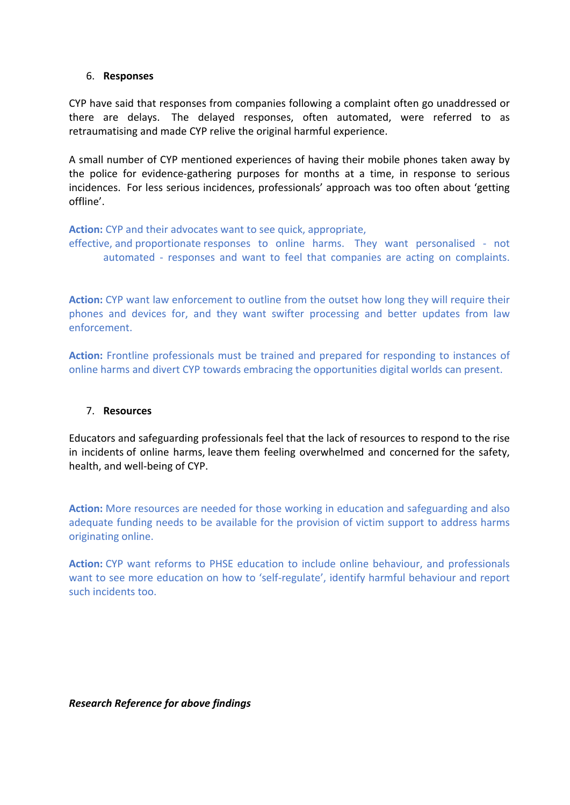### 6. **Responses**

CYP have said that responses from companies following a complaint often go unaddressed or there are delays. The delayed responses, often automated, were referred to as retraumatising and made CYP relive the original harmful experience.

A small number of CYP mentioned experiences of having their mobile phones taken away by the police for evidence-gathering purposes for months at a time, in response to serious incidences. For less serious incidences, professionals' approach was too often about 'getting offline'.

**Action:** CYP and their advocates want to see quick, appropriate,

effective, and proportionate responses to online harms. They want personalised - not automated - responses and want to feel that companies are acting on complaints.

**Action:** CYP want law enforcement to outline from the outset how long they will require their phones and devices for, and they want swifter processing and better updates from law enforcement.

**Action:** Frontline professionals must be trained and prepared for responding to instances of online harms and divert CYP towards embracing the opportunities digital worlds can present.

## 7. **Resources**

Educators and safeguarding professionals feel that the lack of resources to respond to the rise in incidents of online harms, leave them feeling overwhelmed and concerned for the safety, health, and well-being of CYP.

**Action:** More resources are needed for those working in education and safeguarding and also adequate funding needs to be available for the provision of victim support to address harms originating online.

**Action:** CYP want reforms to PHSE education to include online behaviour, and professionals want to see more education on how to 'self-regulate', identify harmful behaviour and report such incidents too.

*Research Reference for above findings*